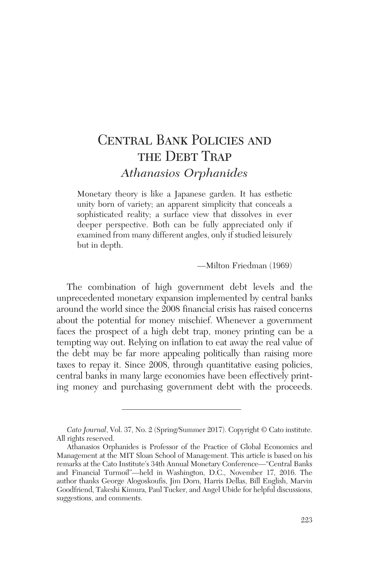# Central Bank Policies and THE DEBT TRAP *Athanasios Orphanides*

Monetary theory is like a Japanese garden. It has esthetic unity born of variety; an apparent simplicity that conceals a sophisticated reality; a surface view that dissolves in ever deeper perspective. Both can be fully appreciated only if examined from many different angles, only if studied leisurely but in depth.

—Milton Friedman (1969)

The combination of high government debt levels and the unprecedented monetary expansion implemented by central banks around the world since the 2008 financial crisis has raised concerns about the potential for money mischief. Whenever a government faces the prospect of a high debt trap, money printing can be a tempting way out. Relying on inflation to eat away the real value of the debt may be far more appealing politically than raising more taxes to repay it. Since 2008, through quantitative easing policies, central banks in many large economies have been effectively printing money and purchasing government debt with the proceeds.

*Cato Journal*, Vol. 37, No. 2 (Spring/Summer 2017). Copyright © Cato institute. All rights reserved.

Athanasios Orphanides is Professor of the Practice of Global Economics and Management at the MIT Sloan School of Management. This article is based on his remarks at the Cato Institute's 34th Annual Monetary Conference—"Central Banks and Financial Turmoil"—held in Washington, D.C., November 17, 2016. The author thanks George Alogoskoufis, Jim Dorn, Harris Dellas, Bill English, Marvin Goodfriend, Takeshi Kimura, Paul Tucker, and Angel Ubide for helpful discussions, suggestions, and comments.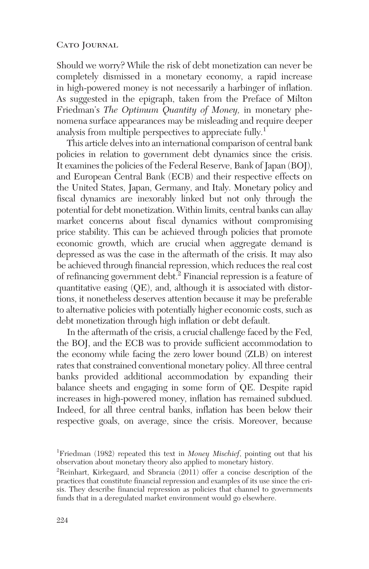Should we worry? While the risk of debt monetization can never be completely dismissed in a monetary economy, a rapid increase in high-powered money is not necessarily a harbinger of inflation. As suggested in the epigraph, taken from the Preface of Milton Friedman's *The Optimum Quantity of Money,* in monetary phenomena surface appearances may be misleading and require deeper analysis from multiple perspectives to appreciate fully.<sup>1</sup>

This article delves into an international comparison of central bank policies in relation to government debt dynamics since the crisis. It examines the policies of the Federal Reserve, Bank of Japan (BOJ), and European Central Bank (ECB) and their respective effects on the United States, Japan, Germany, and Italy. Monetary policy and fiscal dynamics are inexorably linked but not only through the potential for debt monetization. Within limits, central banks can allay market concerns about fiscal dynamics without compromising price stability. This can be achieved through policies that promote economic growth, which are crucial when aggregate demand is depressed as was the case in the aftermath of the crisis. It may also be achieved through financial repression, which reduces the real cost of refinancing government debt. $^2$  Financial repression is a feature of quantitative easing (QE), and, although it is associated with distortions, it nonetheless deserves attention because it may be preferable to alternative policies with potentially higher economic costs, such as debt monetization through high inflation or debt default.

In the aftermath of the crisis, a crucial challenge faced by the Fed, the BOJ, and the ECB was to provide sufficient accommodation to the economy while facing the zero lower bound (ZLB) on interest rates that constrained conventional monetary policy. All three central banks provided additional accommodation by expanding their balance sheets and engaging in some form of QE. Despite rapid increases in high-powered money, inflation has remained subdued. Indeed, for all three central banks, inflation has been below their respective goals, on average, since the crisis. Moreover, because

<sup>1</sup> Friedman (1982) repeated this text in *Money Mischief*, pointing out that his observation about monetary theory also applied to monetary history.

<sup>&</sup>lt;sup>2</sup>Reinhart, Kirkegaard, and Sbrancia (2011) offer a concise description of the practices that constitute financial repression and examples of its use since the crisis. They describe financial repression as policies that channel to governments funds that in a deregulated market environment would go elsewhere.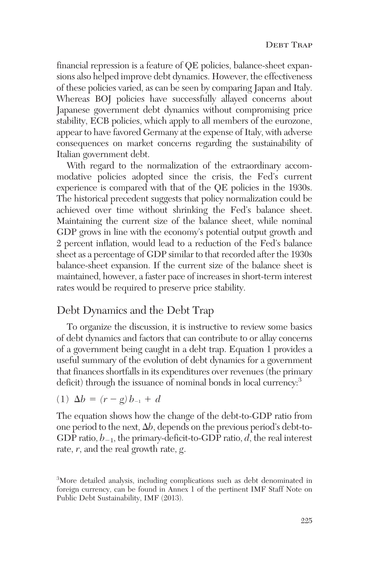financial repression is a feature of QE policies, balance-sheet expansions also helped improve debt dynamics. However, the effectiveness of these policies varied, as can be seen by comparing Japan and Italy. Whereas BOJ policies have successfully allayed concerns about Japanese government debt dynamics without compromising price stability, ECB policies, which apply to all members of the eurozone, appear to have favored Germany at the expense of Italy, with adverse consequences on market concerns regarding the sustainability of Italian government debt.

With regard to the normalization of the extraordinary accommodative policies adopted since the crisis, the Fed's current experience is compared with that of the QE policies in the 1930s. The historical precedent suggests that policy normalization could be achieved over time without shrinking the Fed's balance sheet. Maintaining the current size of the balance sheet, while nominal GDP grows in line with the economy's potential output growth and 2 percent inflation, would lead to a reduction of the Fed's balance sheet as a percentage of GDP similar to that recorded after the 1930s balance-sheet expansion. If the current size of the balance sheet is maintained, however, a faster pace of increases in short-term interest rates would be required to preserve price stability.

## Debt Dynamics and the Debt Trap

To organize the discussion, it is instructive to review some basics of debt dynamics and factors that can contribute to or allay concerns of a government being caught in a debt trap. Equation 1 provides a useful summary of the evolution of debt dynamics for a government that finances shortfalls in its expenditures over revenues (the primary deficit) through the issuance of nominal bonds in local currency:<sup>3</sup>

(1) 
$$
\Delta b = (r - g) b_{-1} + d
$$

The equation shows how the change of the debt-to-GDP ratio from one period to the next,  $\Delta b$ , depends on the previous period's debt-to-GDP ratio,  $b_{-1}$ , the primary-deficit-to-GDP ratio,  $d$ , the real interest rate, *r*, and the real growth rate, *g*.

<sup>&</sup>lt;sup>3</sup>More detailed analysis, including complications such as debt denominated in foreign currency, can be found in Annex 1 of the pertinent IMF Staff Note on Public Debt Sustainability, IMF (2013).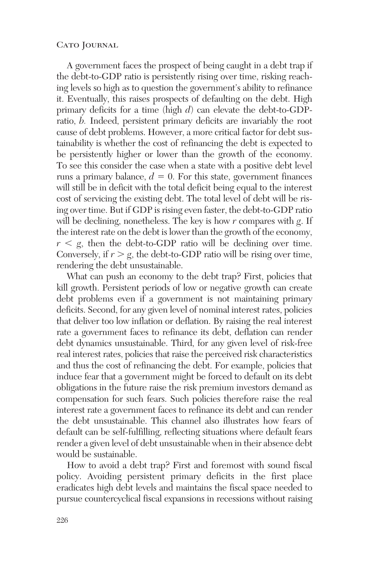A government faces the prospect of being caught in a debt trap if the debt-to-GDP ratio is persistently rising over time, risking reaching levels so high as to question the government's ability to refinance it. Eventually, this raises prospects of defaulting on the debt. High primary deficits for a time (high *d*) can elevate the debt-to-GDPratio, *b.* Indeed, persistent primary deficits are invariably the root cause of debt problems. However, a more critical factor for debt sustainability is whether the cost of refinancing the debt is expected to be persistently higher or lower than the growth of the economy. To see this consider the case when a state with a positive debt level runs a primary balance,  $d = 0$ . For this state, government finances will still be in deficit with the total deficit being equal to the interest cost of servicing the existing debt. The total level of debt will be rising over time. But if GDP is rising even faster, the debt-to-GDP ratio will be declining, nonetheless. The key is how *r* compares with *g*. If the interest rate on the debt is lower than the growth of the economy,  $r < g$ , then the debt-to-GDP ratio will be declining over time. Conversely, if  $r > g$ , the debt-to-GDP ratio will be rising over time, rendering the debt unsustainable.

What can push an economy to the debt trap? First, policies that kill growth. Persistent periods of low or negative growth can create debt problems even if a government is not maintaining primary deficits. Second, for any given level of nominal interest rates, policies that deliver too low inflation or deflation. By raising the real interest rate a government faces to refinance its debt, deflation can render debt dynamics unsustainable. Third, for any given level of risk-free real interest rates, policies that raise the perceived risk characteristics and thus the cost of refinancing the debt. For example, policies that induce fear that a government might be forced to default on its debt obligations in the future raise the risk premium investors demand as compensation for such fears. Such policies therefore raise the real interest rate a government faces to refinance its debt and can render the debt unsustainable. This channel also illustrates how fears of default can be self-fulfilling, reflecting situations where default fears render a given level of debt unsustainable when in their absence debt would be sustainable.

How to avoid a debt trap? First and foremost with sound fiscal policy. Avoiding persistent primary deficits in the first place eradicates high debt levels and maintains the fiscal space needed to pursue countercyclical fiscal expansions in recessions without raising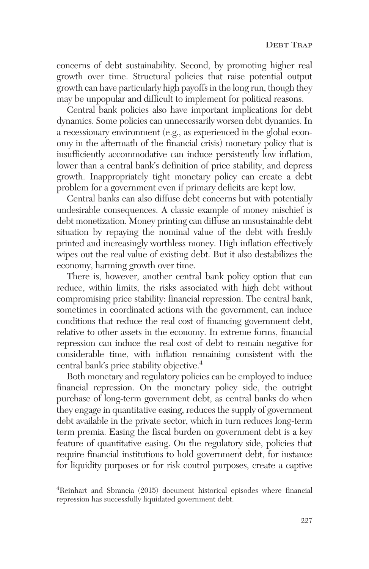concerns of debt sustainability. Second, by promoting higher real growth over time. Structural policies that raise potential output growth can have particularly high payoffs in the long run, though they may be unpopular and difficult to implement for political reasons.

Central bank policies also have important implications for debt dynamics. Some policies can unnecessarily worsen debt dynamics. In a recessionary environment (e.g., as experienced in the global economy in the aftermath of the financial crisis) monetary policy that is insufficiently accommodative can induce persistently low inflation, lower than a central bank's definition of price stability, and depress growth. Inappropriately tight monetary policy can create a debt problem for a government even if primary deficits are kept low.

Central banks can also diffuse debt concerns but with potentially undesirable consequences. A classic example of money mischief is debt monetization. Money printing can diffuse an unsustainable debt situation by repaying the nominal value of the debt with freshly printed and increasingly worthless money. High inflation effectively wipes out the real value of existing debt. But it also destabilizes the economy, harming growth over time.

There is, however, another central bank policy option that can reduce, within limits, the risks associated with high debt without compromising price stability: financial repression. The central bank, sometimes in coordinated actions with the government, can induce conditions that reduce the real cost of financing government debt, relative to other assets in the economy. In extreme forms, financial repression can induce the real cost of debt to remain negative for considerable time, with inflation remaining consistent with the central bank's price stability objective.<sup>4</sup>

Both monetary and regulatory policies can be employed to induce financial repression. On the monetary policy side, the outright purchase of long-term government debt, as central banks do when they engage in quantitative easing, reduces the supply of government debt available in the private sector, which in turn reduces long-term term premia. Easing the fiscal burden on government debt is a key feature of quantitative easing. On the regulatory side, policies that require financial institutions to hold government debt, for instance for liquidity purposes or for risk control purposes, create a captive

<sup>4</sup> Reinhart and Sbrancia (2015) document historical episodes where financial repression has successfully liquidated government debt.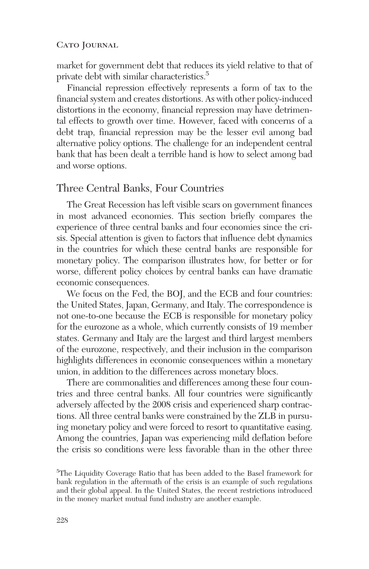market for government debt that reduces its yield relative to that of private debt with similar characteristics.5

Financial repression effectively represents a form of tax to the financial system and creates distortions. As with other policy-induced distortions in the economy, financial repression may have detrimental effects to growth over time. However, faced with concerns of a debt trap, financial repression may be the lesser evil among bad alternative policy options. The challenge for an independent central bank that has been dealt a terrible hand is how to select among bad and worse options.

### Three Central Banks, Four Countries

The Great Recession has left visible scars on government finances in most advanced economies. This section briefly compares the experience of three central banks and four economies since the crisis. Special attention is given to factors that influence debt dynamics in the countries for which these central banks are responsible for monetary policy. The comparison illustrates how, for better or for worse, different policy choices by central banks can have dramatic economic consequences.

We focus on the Fed, the BOJ, and the ECB and four countries: the United States, Japan, Germany, and Italy. The correspondence is not one-to-one because the ECB is responsible for monetary policy for the eurozone as a whole, which currently consists of 19 member states. Germany and Italy are the largest and third largest members of the eurozone, respectively, and their inclusion in the comparison highlights differences in economic consequences within a monetary union, in addition to the differences across monetary blocs.

There are commonalities and differences among these four countries and three central banks. All four countries were significantly adversely affected by the 2008 crisis and experienced sharp contractions. All three central banks were constrained by the ZLB in pursuing monetary policy and were forced to resort to quantitative easing. Among the countries, Japan was experiencing mild deflation before the crisis so conditions were less favorable than in the other three

<sup>&</sup>lt;sup>5</sup>The Liquidity Coverage Ratio that has been added to the Basel framework for bank regulation in the aftermath of the crisis is an example of such regulations and their global appeal. In the United States, the recent restrictions introduced in the money market mutual fund industry are another example.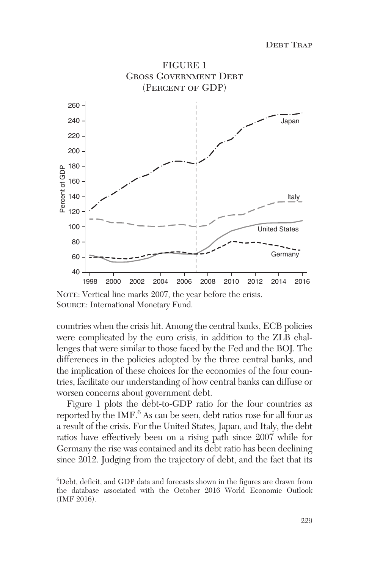

NOTE: Vertical line marks 2007, the year before the crisis. Source: International Monetary Fund.

countries when the crisis hit. Among the central banks, ECB policies were complicated by the euro crisis, in addition to the ZLB challenges that were similar to those faced by the Fed and the BOJ. The differences in the policies adopted by the three central banks, and the implication of these choices for the economies of the four countries, facilitate our understanding of how central banks can diffuse or worsen concerns about government debt.

Figure 1 plots the debt-to-GDP ratio for the four countries as reported by the IMF.<sup>6</sup> As can be seen, debt ratios rose for all four as a result of the crisis. For the United States, Japan, and Italy, the debt ratios have effectively been on a rising path since 2007 while for Germany the rise was contained and its debt ratio has been declining since 2012. Judging from the trajectory of debt, and the fact that its

<sup>&</sup>lt;sup>6</sup>Debt, deficit, and GDP data and forecasts shown in the figures are drawn from the database associated with the October 2016 World Economic Outlook (IMF 2016).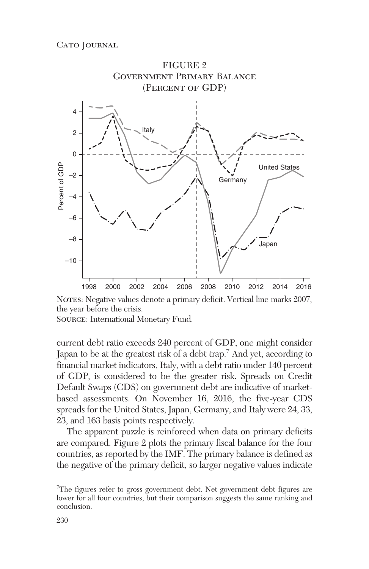

NOTES: Negative values denote a primary deficit. Vertical line marks 2007, the year before the crisis.

Source: International Monetary Fund.

current debt ratio exceeds 240 percent of GDP, one might consider Japan to be at the greatest risk of a debt trap.<sup>7</sup> And yet, according to financial market indicators, Italy, with a debt ratio under 140 percent of GDP, is considered to be the greater risk. Spreads on Credit Default Swaps (CDS) on government debt are indicative of marketbased assessments. On November 16, 2016, the five-year CDS spreads for the United States, Japan, Germany, and Italy were 24, 33, 23, and 163 basis points respectively.

The apparent puzzle is reinforced when data on primary deficits are compared. Figure 2 plots the primary fiscal balance for the four countries, as reported by the IMF. The primary balance is defined as the negative of the primary deficit, so larger negative values indicate

<sup>&</sup>lt;sup>7</sup>The figures refer to gross government debt. Net government debt figures are lower for all four countries, but their comparison suggests the same ranking and conclusion.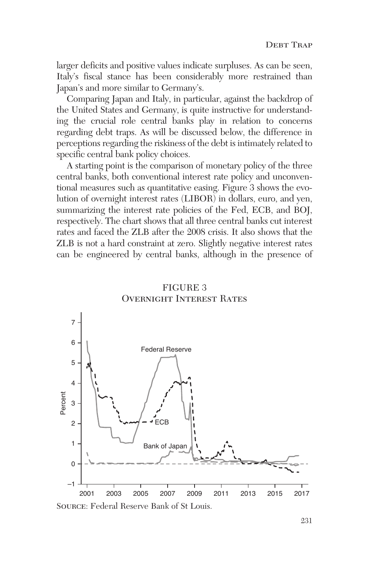larger deficits and positive values indicate surpluses. As can be seen, Italy's fiscal stance has been considerably more restrained than Japan's and more similar to Germany's.

Comparing Japan and Italy, in particular, against the backdrop of the United States and Germany, is quite instructive for understanding the crucial role central banks play in relation to concerns regarding debt traps. As will be discussed below, the difference in perceptions regarding the riskiness of the debt is intimately related to specific central bank policy choices.

A starting point is the comparison of monetary policy of the three central banks, both conventional interest rate policy and unconventional measures such as quantitative easing. Figure 3 shows the evolution of overnight interest rates (LIBOR) in dollars, euro, and yen, summarizing the interest rate policies of the Fed, ECB, and BOJ, respectively. The chart shows that all three central banks cut interest rates and faced the ZLB after the 2008 crisis. It also shows that the ZLB is not a hard constraint at zero. Slightly negative interest rates can be engineered by central banks, although in the presence of



### FIGURE 3 Overnight Interest Rates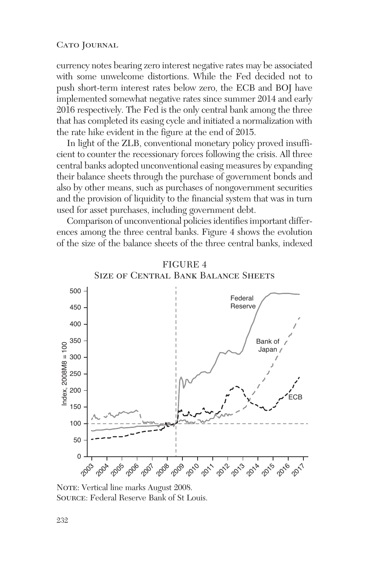currency notes bearing zero interest negative rates may be associated with some unwelcome distortions. While the Fed decided not to push short-term interest rates below zero, the ECB and BOJ have implemented somewhat negative rates since summer 2014 and early 2016 respectively. The Fed is the only central bank among the three that has completed its easing cycle and initiated a normalization with the rate hike evident in the figure at the end of 2015.

In light of the ZLB, conventional monetary policy proved insufficient to counter the recessionary forces following the crisis. All three central banks adopted unconventional easing measures by expanding their balance sheets through the purchase of government bonds and also by other means, such as purchases of nongovernment securities and the provision of liquidity to the financial system that was in turn used for asset purchases, including government debt.

Comparison of unconventional policies identifies important differences among the three central banks. Figure 4 shows the evolution of the size of the balance sheets of the three central banks, indexed



FIGURE 4 Size of Central Bank Balance Sheets

NOTE: Vertical line marks August 2008. Source: Federal Reserve Bank of St Louis.

232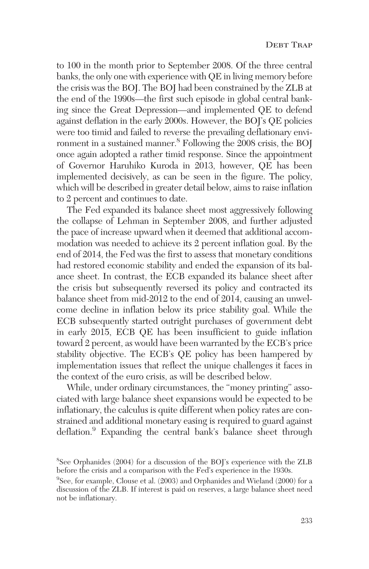to 100 in the month prior to September 2008. Of the three central banks, the only one with experience with QE in living memory before the crisis was the BOJ. The BOJ had been constrained by the ZLB at the end of the 1990s—the first such episode in global central banking since the Great Depression—and implemented QE to defend against deflation in the early 2000s. However, the BOJ's QE policies were too timid and failed to reverse the prevailing deflationary environment in a sustained manner.<sup>8</sup> Following the 2008 crisis, the BOJ once again adopted a rather timid response. Since the appointment of Governor Haruhiko Kuroda in 2013, however, QE has been implemented decisively, as can be seen in the figure. The policy, which will be described in greater detail below, aims to raise inflation to 2 percent and continues to date.

The Fed expanded its balance sheet most aggressively following the collapse of Lehman in September 2008, and further adjusted the pace of increase upward when it deemed that additional accommodation was needed to achieve its 2 percent inflation goal. By the end of 2014, the Fed was the first to assess that monetary conditions had restored economic stability and ended the expansion of its balance sheet. In contrast, the ECB expanded its balance sheet after the crisis but subsequently reversed its policy and contracted its balance sheet from mid-2012 to the end of 2014, causing an unwelcome decline in inflation below its price stability goal. While the ECB subsequently started outright purchases of government debt in early 2015, ECB QE has been insufficient to guide inflation toward 2 percent, as would have been warranted by the ECB's price stability objective. The ECB's QE policy has been hampered by implementation issues that reflect the unique challenges it faces in the context of the euro crisis, as will be described below.

While, under ordinary circumstances, the "money printing" associated with large balance sheet expansions would be expected to be inflationary, the calculus is quite different when policy rates are constrained and additional monetary easing is required to guard against deflation.9 Expanding the central bank's balance sheet through

<sup>&</sup>lt;sup>8</sup>See Orphanides (2004) for a discussion of the BOI's experience with the ZLB before the crisis and a comparison with the Fed's experience in the 1930s.

<sup>9</sup> See, for example, Clouse et al. (2003) and Orphanides and Wieland (2000) for a discussion of the ZLB. If interest is paid on reserves, a large balance sheet need not be inflationary.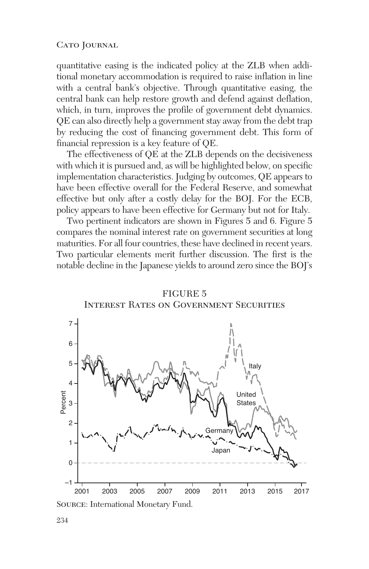quantitative easing is the indicated policy at the ZLB when additional monetary accommodation is required to raise inflation in line with a central bank's objective. Through quantitative easing, the central bank can help restore growth and defend against deflation, which, in turn, improves the profile of government debt dynamics. QE can also directly help a government stay away from the debt trap by reducing the cost of financing government debt. This form of financial repression is a key feature of QE.

The effectiveness of QE at the ZLB depends on the decisiveness with which it is pursued and, as will be highlighted below, on specific implementation characteristics. Judging by outcomes, QE appears to have been effective overall for the Federal Reserve, and somewhat effective but only after a costly delay for the BOJ. For the ECB, policy appears to have been effective for Germany but not for Italy.

Two pertinent indicators are shown in Figures 5 and 6. Figure 5 compares the nominal interest rate on government securities at long maturities. For all four countries, these have declined in recent years. Two particular elements merit further discussion. The first is the notable decline in the Japanese yields to around zero since the BOJ's



Source: International Monetary Fund.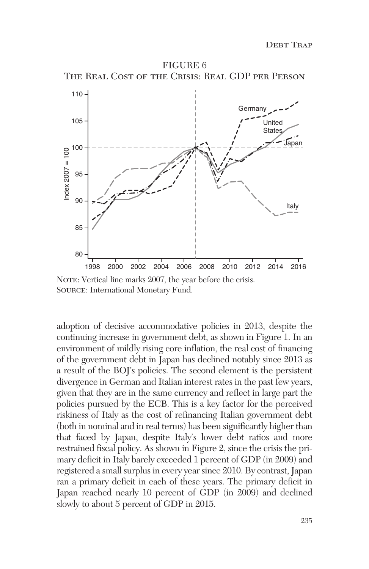

FIGURE 6 The Real Cost of the Crisis: Real GDP per Person

NOTE: Vertical line marks 2007, the year before the crisis. Source: International Monetary Fund.

adoption of decisive accommodative policies in 2013, despite the continuing increase in government debt, as shown in Figure 1. In an environment of mildly rising core inflation, the real cost of financing of the government debt in Japan has declined notably since 2013 as a result of the BOJ's policies. The second element is the persistent divergence in German and Italian interest rates in the past few years, given that they are in the same currency and reflect in large part the policies pursued by the ECB. This is a key factor for the perceived riskiness of Italy as the cost of refinancing Italian government debt (both in nominal and in real terms) has been significantly higher than that faced by Japan, despite Italy's lower debt ratios and more restrained fiscal policy. As shown in Figure 2, since the crisis the primary deficit in Italy barely exceeded 1 percent of GDP (in 2009) and registered a small surplus in every year since 2010. By contrast, Japan ran a primary deficit in each of these years. The primary deficit in Japan reached nearly 10 percent of GDP (in 2009) and declined slowly to about 5 percent of GDP in 2015.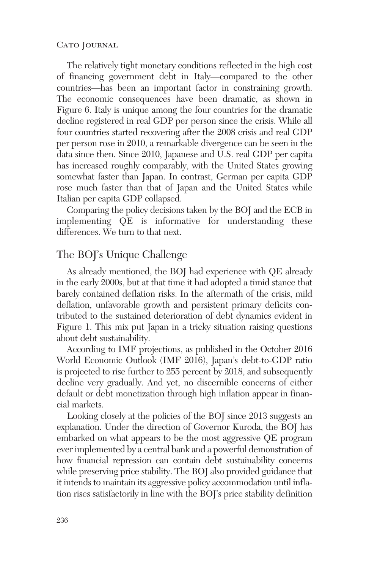The relatively tight monetary conditions reflected in the high cost of financing government debt in Italy—compared to the other countries—has been an important factor in constraining growth. The economic consequences have been dramatic, as shown in Figure 6. Italy is unique among the four countries for the dramatic decline registered in real GDP per person since the crisis. While all four countries started recovering after the 2008 crisis and real GDP per person rose in 2010, a remarkable divergence can be seen in the data since then. Since 2010, Japanese and U.S. real GDP per capita has increased roughly comparably, with the United States growing somewhat faster than Japan. In contrast, German per capita GDP rose much faster than that of Japan and the United States while Italian per capita GDP collapsed.

Comparing the policy decisions taken by the BOJ and the ECB in implementing QE is informative for understanding these differences. We turn to that next.

## The BOJ's Unique Challenge

As already mentioned, the BOJ had experience with QE already in the early 2000s, but at that time it had adopted a timid stance that barely contained deflation risks. In the aftermath of the crisis, mild deflation, unfavorable growth and persistent primary deficits contributed to the sustained deterioration of debt dynamics evident in Figure 1. This mix put Japan in a tricky situation raising questions about debt sustainability.

According to IMF projections, as published in the October 2016 World Economic Outlook (IMF 2016), Japan's debt-to-GDP ratio is projected to rise further to 255 percent by 2018, and subsequently decline very gradually. And yet, no discernible concerns of either default or debt monetization through high inflation appear in financial markets.

Looking closely at the policies of the BOJ since 2013 suggests an explanation. Under the direction of Governor Kuroda, the BOJ has embarked on what appears to be the most aggressive QE program ever implemented by a central bank and a powerful demonstration of how financial repression can contain debt sustainability concerns while preserving price stability. The BOJ also provided guidance that it intends to maintain its aggressive policy accommodation until inflation rises satisfactorily in line with the BOJ's price stability definition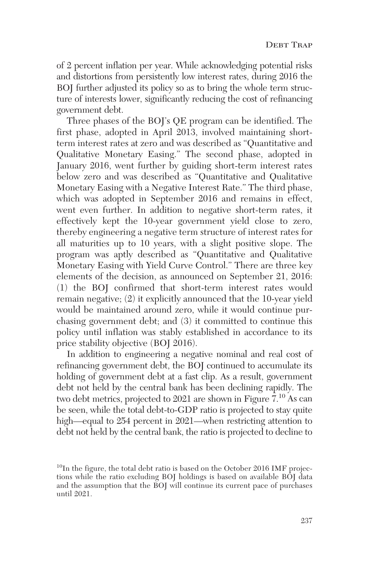of 2 percent inflation per year. While acknowledging potential risks and distortions from persistently low interest rates, during 2016 the BOJ further adjusted its policy so as to bring the whole term structure of interests lower, significantly reducing the cost of refinancing government debt.

Three phases of the BOJ's QE program can be identified. The first phase, adopted in April 2013, involved maintaining shortterm interest rates at zero and was described as "Quantitative and Qualitative Monetary Easing." The second phase, adopted in January 2016, went further by guiding short-term interest rates below zero and was described as "Quantitative and Qualitative Monetary Easing with a Negative Interest Rate." The third phase, which was adopted in September 2016 and remains in effect, went even further. In addition to negative short-term rates, it effectively kept the 10-year government yield close to zero, thereby engineering a negative term structure of interest rates for all maturities up to 10 years, with a slight positive slope. The program was aptly described as "Quantitative and Qualitative Monetary Easing with Yield Curve Control." There are three key elements of the decision, as announced on September 21, 2016: (1) the BOJ confirmed that short-term interest rates would remain negative; (2) it explicitly announced that the 10-year yield would be maintained around zero, while it would continue purchasing government debt; and (3) it committed to continue this policy until inflation was stably established in accordance to its price stability objective (BOJ 2016).

In addition to engineering a negative nominal and real cost of refinancing government debt, the BOJ continued to accumulate its holding of government debt at a fast clip. As a result, government debt not held by the central bank has been declining rapidly. The two debt metrics, projected to 2021 are shown in Figure  $7<sup>10</sup>$  As can be seen, while the total debt-to-GDP ratio is projected to stay quite high—equal to 254 percent in 2021—when restricting attention to debt not held by the central bank, the ratio is projected to decline to

 $10$ In the figure, the total debt ratio is based on the October 2016 IMF projections while the ratio excluding BOJ holdings is based on available BOJ data and the assumption that the BOJ will continue its current pace of purchases until 2021.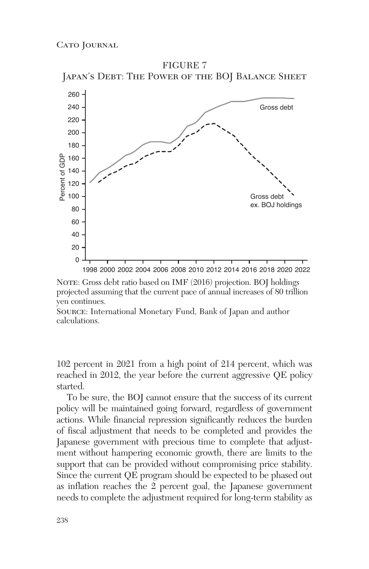

NOTE: Gross debt ratio based on IMF (2016) projection. BOJ holdings projected assuming that the current pace of annual increases of 80 trillion yen continues.

Source: International Monetary Fund, Bank of Japan and author calculations.

102 percent in 2021 from a high point of 214 percent, which was reached in 2012, the year before the current aggressive QE policy started.

To be sure, the BOJ cannot ensure that the success of its current policy will be maintained going forward, regardless of government actions. While financial repression significantly reduces the burden of fiscal adjustment that needs to be completed and provides the Japanese government with precious time to complete that adjustment without hampering economic growth, there are limits to the support that can be provided without compromising price stability. Since the current QE program should be expected to be phased out as inflation reaches the 2 percent goal, the Japanese government needs to complete the adjustment required for long-term stability as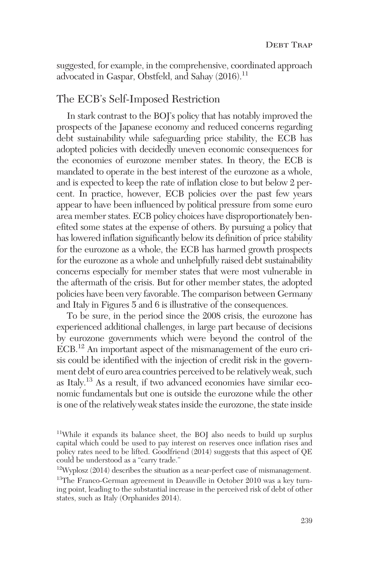suggested, for example, in the comprehensive, coordinated approach advocated in Gaspar, Obstfeld, and Sahay (2016).<sup>11</sup>

### The ECB's Self-Imposed Restriction

In stark contrast to the BOJ's policy that has notably improved the prospects of the Japanese economy and reduced concerns regarding debt sustainability while safeguarding price stability, the ECB has adopted policies with decidedly uneven economic consequences for the economies of eurozone member states. In theory, the ECB is mandated to operate in the best interest of the eurozone as a whole, and is expected to keep the rate of inflation close to but below 2 percent. In practice, however, ECB policies over the past few years appear to have been influenced by political pressure from some euro area member states. ECB policy choices have disproportionately benefited some states at the expense of others. By pursuing a policy that has lowered inflation significantly below its definition of price stability for the eurozone as a whole, the ECB has harmed growth prospects for the eurozone as a whole and unhelpfully raised debt sustainability concerns especially for member states that were most vulnerable in the aftermath of the crisis. But for other member states, the adopted policies have been very favorable. The comparison between Germany and Italy in Figures 5 and 6 is illustrative of the consequences.

To be sure, in the period since the 2008 crisis, the eurozone has experienced additional challenges, in large part because of decisions by eurozone governments which were beyond the control of the ECB.12 An important aspect of the mismanagement of the euro crisis could be identified with the injection of credit risk in the government debt of euro area countries perceived to be relatively weak, such as Italy.13 As a result, if two advanced economies have similar economic fundamentals but one is outside the eurozone while the other is one of the relatively weak states inside the eurozone, the state inside

<sup>11</sup>While it expands its balance sheet, the BOJ also needs to build up surplus capital which could be used to pay interest on reserves once inflation rises and policy rates need to be lifted. Goodfriend (2014) suggests that this aspect of QE could be understood as a "carry trade."

<sup>12</sup>Wyplosz (2014) describes the situation as a near-perfect case of mismanagement.

<sup>&</sup>lt;sup>13</sup>The Franco-German agreement in Deauville in October 2010 was a key turning point, leading to the substantial increase in the perceived risk of debt of other states, such as Italy (Orphanides 2014).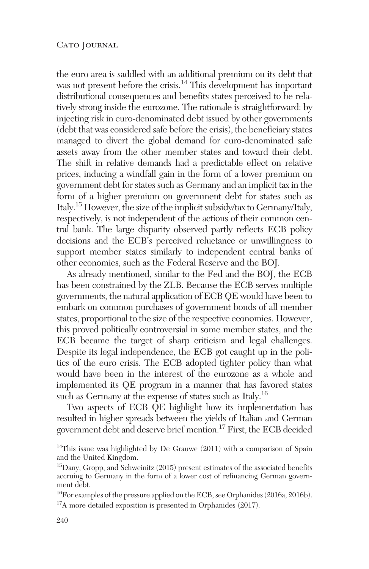the euro area is saddled with an additional premium on its debt that was not present before the crisis.<sup>14</sup> This development has important distributional consequences and benefits states perceived to be relatively strong inside the eurozone. The rationale is straightforward: by injecting risk in euro-denominated debt issued by other governments (debt that was considered safe before the crisis), the beneficiary states managed to divert the global demand for euro-denominated safe assets away from the other member states and toward their debt. The shift in relative demands had a predictable effect on relative prices, inducing a windfall gain in the form of a lower premium on government debt for states such as Germany and an implicit tax in the form of a higher premium on government debt for states such as Italy.15 However, the size of the implicit subsidy/tax to Germany/Italy, respectively, is not independent of the actions of their common central bank. The large disparity observed partly reflects ECB policy decisions and the ECB's perceived reluctance or unwillingness to support member states similarly to independent central banks of other economies, such as the Federal Reserve and the BOJ.

As already mentioned, similar to the Fed and the BOJ, the ECB has been constrained by the ZLB. Because the ECB serves multiple governments, the natural application of ECB QE would have been to embark on common purchases of government bonds of all member states, proportional to the size of the respective economies. However, this proved politically controversial in some member states, and the ECB became the target of sharp criticism and legal challenges. Despite its legal independence, the ECB got caught up in the politics of the euro crisis. The ECB adopted tighter policy than what would have been in the interest of the eurozone as a whole and implemented its QE program in a manner that has favored states such as Germany at the expense of states such as Italy.<sup>16</sup>

Two aspects of ECB QE highlight how its implementation has resulted in higher spreads between the yields of Italian and German government debt and deserve brief mention.17 First, the ECB decided

16For examples of the pressure applied on the ECB, see Orphanides (2016a, 2016b). <sup>17</sup>A more detailed exposition is presented in Orphanides (2017).

<sup>&</sup>lt;sup>14</sup>This issue was highlighted by De Grauwe (2011) with a comparison of Spain and the United Kingdom.

<sup>15</sup>Dany, Gropp, and Schweinitz (2015) present estimates of the associated benefits accruing to Germany in the form of a lower cost of refinancing German government debt.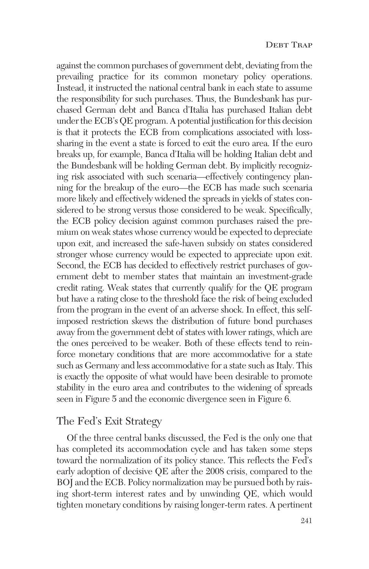against the common purchases of government debt, deviating from the prevailing practice for its common monetary policy operations. Instead, it instructed the national central bank in each state to assume the responsibility for such purchases. Thus, the Bundesbank has purchased German debt and Banca d'Italia has purchased Italian debt under the ECB's QE program. A potential justification for this decision is that it protects the ECB from complications associated with losssharing in the event a state is forced to exit the euro area. If the euro breaks up, for example, Banca d'Italia will be holding Italian debt and the Bundesbank will be holding German debt. By implicitly recognizing risk associated with such scenaria—effectively contingency planning for the breakup of the euro—the ECB has made such scenaria more likely and effectively widened the spreads in yields of states considered to be strong versus those considered to be weak. Specifically, the ECB policy decision against common purchases raised the premium on weak states whose currency would be expected to depreciate upon exit, and increased the safe-haven subsidy on states considered stronger whose currency would be expected to appreciate upon exit. Second, the ECB has decided to effectively restrict purchases of government debt to member states that maintain an investment-grade credit rating. Weak states that currently qualify for the QE program but have a rating close to the threshold face the risk of being excluded from the program in the event of an adverse shock. In effect, this selfimposed restriction skews the distribution of future bond purchases away from the government debt of states with lower ratings, which are the ones perceived to be weaker. Both of these effects tend to reinforce monetary conditions that are more accommodative for a state such as Germany and less accommodative for a state such as Italy. This is exactly the opposite of what would have been desirable to promote stability in the euro area and contributes to the widening of spreads seen in Figure 5 and the economic divergence seen in Figure 6.

# The Fed's Exit Strategy

Of the three central banks discussed, the Fed is the only one that has completed its accommodation cycle and has taken some steps toward the normalization of its policy stance. This reflects the Fed's early adoption of decisive QE after the 2008 crisis, compared to the BOJ and the ECB. Policy normalization may be pursued both by raising short-term interest rates and by unwinding QE, which would tighten monetary conditions by raising longer-term rates. A pertinent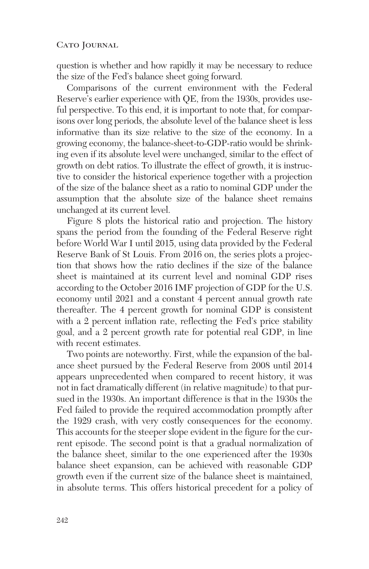question is whether and how rapidly it may be necessary to reduce the size of the Fed's balance sheet going forward.

Comparisons of the current environment with the Federal Reserve's earlier experience with QE, from the 1930s, provides useful perspective. To this end, it is important to note that, for comparisons over long periods, the absolute level of the balance sheet is less informative than its size relative to the size of the economy. In a growing economy, the balance-sheet-to-GDP-ratio would be shrinking even if its absolute level were unchanged, similar to the effect of growth on debt ratios. To illustrate the effect of growth, it is instructive to consider the historical experience together with a projection of the size of the balance sheet as a ratio to nominal GDP under the assumption that the absolute size of the balance sheet remains unchanged at its current level.

Figure 8 plots the historical ratio and projection. The history spans the period from the founding of the Federal Reserve right before World War I until 2015, using data provided by the Federal Reserve Bank of St Louis. From 2016 on, the series plots a projection that shows how the ratio declines if the size of the balance sheet is maintained at its current level and nominal GDP rises according to the October 2016 IMF projection of GDP for the U.S. economy until 2021 and a constant 4 percent annual growth rate thereafter. The 4 percent growth for nominal GDP is consistent with a 2 percent inflation rate, reflecting the Fed's price stability goal, and a 2 percent growth rate for potential real GDP, in line with recent estimates.

Two points are noteworthy. First, while the expansion of the balance sheet pursued by the Federal Reserve from 2008 until 2014 appears unprecedented when compared to recent history, it was not in fact dramatically different (in relative magnitude) to that pursued in the 1930s. An important difference is that in the 1930s the Fed failed to provide the required accommodation promptly after the 1929 crash, with very costly consequences for the economy. This accounts for the steeper slope evident in the figure for the current episode. The second point is that a gradual normalization of the balance sheet, similar to the one experienced after the 1930s balance sheet expansion, can be achieved with reasonable GDP growth even if the current size of the balance sheet is maintained, in absolute terms. This offers historical precedent for a policy of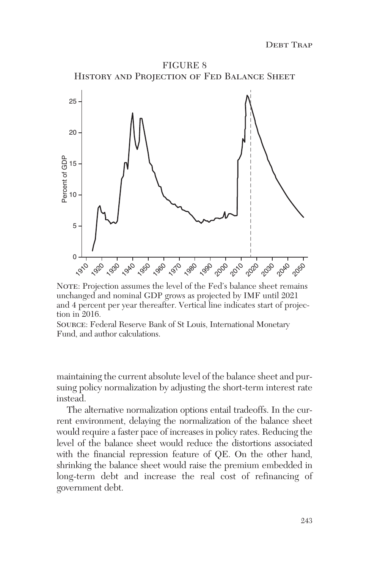

NOTE: Projection assumes the level of the Fed's balance sheet remains unchanged and nominal GDP grows as projected by IMF until 2021 and 4 percent per year thereafter. Vertical line indicates start of projection in 2016.

Source: Federal Reserve Bank of St Louis, International Monetary Fund, and author calculations.

maintaining the current absolute level of the balance sheet and pursuing policy normalization by adjusting the short-term interest rate instead.

The alternative normalization options entail tradeoffs. In the current environment, delaying the normalization of the balance sheet would require a faster pace of increases in policy rates. Reducing the level of the balance sheet would reduce the distortions associated with the financial repression feature of QE. On the other hand, shrinking the balance sheet would raise the premium embedded in long-term debt and increase the real cost of refinancing of government debt.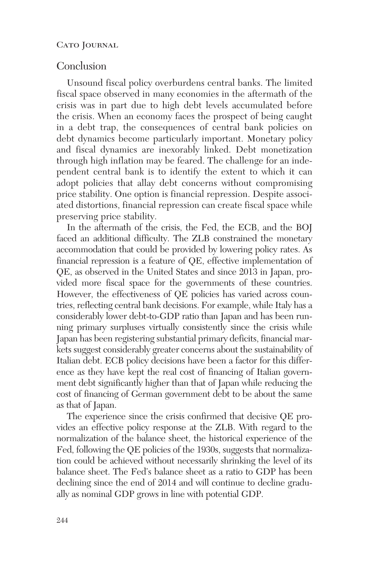### Conclusion

Unsound fiscal policy overburdens central banks. The limited fiscal space observed in many economies in the aftermath of the crisis was in part due to high debt levels accumulated before the crisis. When an economy faces the prospect of being caught in a debt trap, the consequences of central bank policies on debt dynamics become particularly important. Monetary policy and fiscal dynamics are inexorably linked. Debt monetization through high inflation may be feared. The challenge for an independent central bank is to identify the extent to which it can adopt policies that allay debt concerns without compromising price stability. One option is financial repression. Despite associated distortions, financial repression can create fiscal space while preserving price stability.

In the aftermath of the crisis, the Fed, the ECB, and the BOJ faced an additional difficulty. The ZLB constrained the monetary accommodation that could be provided by lowering policy rates. As financial repression is a feature of QE, effective implementation of QE, as observed in the United States and since 2013 in Japan, provided more fiscal space for the governments of these countries. However, the effectiveness of QE policies has varied across countries, reflecting central bank decisions. For example, while Italy has a considerably lower debt-to-GDP ratio than Japan and has been running primary surpluses virtually consistently since the crisis while Japan has been registering substantial primary deficits, financial markets suggest considerably greater concerns about the sustainability of Italian debt. ECB policy decisions have been a factor for this difference as they have kept the real cost of financing of Italian government debt significantly higher than that of Japan while reducing the cost of financing of German government debt to be about the same as that of Japan.

The experience since the crisis confirmed that decisive QE provides an effective policy response at the ZLB. With regard to the normalization of the balance sheet, the historical experience of the Fed, following the QE policies of the 1930s, suggests that normalization could be achieved without necessarily shrinking the level of its balance sheet. The Fed's balance sheet as a ratio to GDP has been declining since the end of 2014 and will continue to decline gradually as nominal GDP grows in line with potential GDP.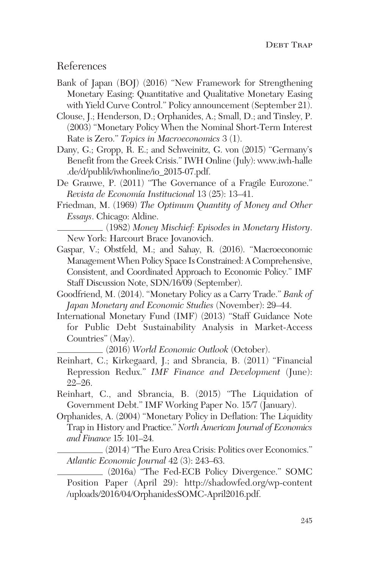### References

- Bank of Japan (BOJ) (2016) "New Framework for Strengthening Monetary Easing: Quantitative and Qualitative Monetary Easing with Yield Curve Control." Policy announcement (September 21).
- Clouse, J.; Henderson, D.; Orphanides, A.; Small, D.; and Tinsley, P. (2003) "Monetary Policy When the Nominal Short-Term Interest Rate is Zero." *Topics in Macroeconomics* 3 (1).
- Dany, G.; Gropp, R. E.; and Schweinitz, G. von (2015) "Germany's Benefit from the Greek Crisis." IWH Online (July): www.iwh-halle .de/d/publik/iwhonline/io\_2015-07.pdf.
- De Grauwe, P. (2011) "The Governance of a Fragile Eurozone." *Revista de Economía Institucional* 13 (25): 13–41.
- Friedman, M. (1969) *The Optimum Quantity of Money and Other Essays*. Chicago: Aldine.

(1982) *Money Mischief: Episodes in Monetary History*. New York: Harcourt Brace Jovanovich.

- Gaspar, V.; Obstfeld, M.; and Sahay, R. (2016). "Macroeconomic ManagementWhen Policy Space Is Constrained:A Comprehensive, Consistent, and Coordinated Approach to Economic Policy." IMF Staff Discussion Note, SDN/16/09 (September).
- Goodfriend, M. (2014). "Monetary Policy as a Carry Trade." *Bank of Japan Monetary and Economic Studies* (November): 29–44.
- International Monetary Fund (IMF) (2013) "Staff Guidance Note for Public Debt Sustainability Analysis in Market-Access Countries" (May).

(2016) *World Economic Outlook* (October).

- Reinhart, C.; Kirkegaard, J.; and Sbrancia, B. (2011) "Financial Repression Redux." *IMF Finance and Development* (June): 22–26.
- Reinhart, C., and Sbrancia, B. (2015) "The Liquidation of Government Debt." IMF Working Paper No. 15/7 (January).
- Orphanides, A. (2004) "Monetary Policy in Deflation: The Liquidity Trap in History and Practice." *North American Journal of Economics and Finance* 15: 101–24.

(2014) "The Euro Area Crisis: Politics over Economics." *Atlantic Economic Journal* 42 (3): 243–63.

(2016a) "The Fed-ECB Policy Divergence." SOMC Position Paper (April 29): http://shadowfed.org/wp-content /uploads/2016/04/OrphanidesSOMC-April2016.pdf.